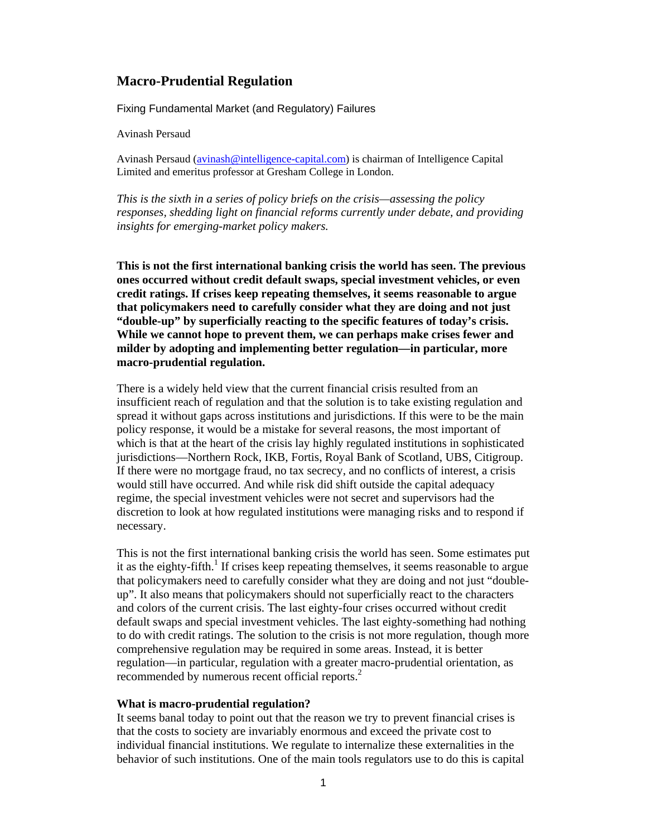# **Macro-Prudential Regulation**

Fixing Fundamental Market (and Regulatory) Failures

Avinash Persaud

Avinash Persaud (avinash@intelligence-capital.com) is chairman of Intelligence Capital Limited and emeritus professor at Gresham College in London.

*This is the sixth in a series of policy briefs on the crisis—assessing the policy responses, shedding light on financial reforms currently under debate, and providing insights for emerging-market policy makers.*

**This is not the first international banking crisis the world has seen. The previous ones occurred without credit default swaps, special investment vehicles, or even credit ratings. If crises keep repeating themselves, it seems reasonable to argue that policymakers need to carefully consider what they are doing and not just "double-up" by superficially reacting to the specific features of today's crisis. While we cannot hope to prevent them, we can perhaps make crises fewer and milder by adopting and implementing better regulation—in particular, more macro-prudential regulation.**

There is a widely held view that the current financial crisis resulted from an insufficient reach of regulation and that the solution is to take existing regulation and spread it without gaps across institutions and jurisdictions. If this were to be the main policy response, it would be a mistake for several reasons, the most important of which is that at the heart of the crisis lay highly regulated institutions in sophisticated jurisdictions—Northern Rock, IKB, Fortis, Royal Bank of Scotland, UBS, Citigroup. If there were no mortgage fraud, no tax secrecy, and no conflicts of interest, a crisis would still have occurred. And while risk did shift outside the capital adequacy regime, the special investment vehicles were not secret and supervisors had the discretion to look at how regulated institutions were managing risks and to respond if necessary.

This is not the first international banking crisis the world has seen. Some estimates put it as the eighty-fifth.<sup>1</sup> If crises keep repeating themselves, it seems reasonable to argue that policymakers need to carefully consider what they are doing and not just "doubleup". It also means that policymakers should not superficially react to the characters and colors of the current crisis. The last eighty-four crises occurred without credit default swaps and special investment vehicles. The last eighty-something had nothing to do with credit ratings. The solution to the crisis is not more regulation, though more comprehensive regulation may be required in some areas. Instead, it is better regulation—in particular, regulation with a greater macro-prudential orientation, as recommended by numerous recent official reports.<sup>2</sup>

### **What is macro-prudential regulation?**

It seems banal today to point out that the reason we try to prevent financial crises is that the costs to society are invariably enormous and exceed the private cost to individual financial institutions. We regulate to internalize these externalities in the behavior of such institutions. One of the main tools regulators use to do this is capital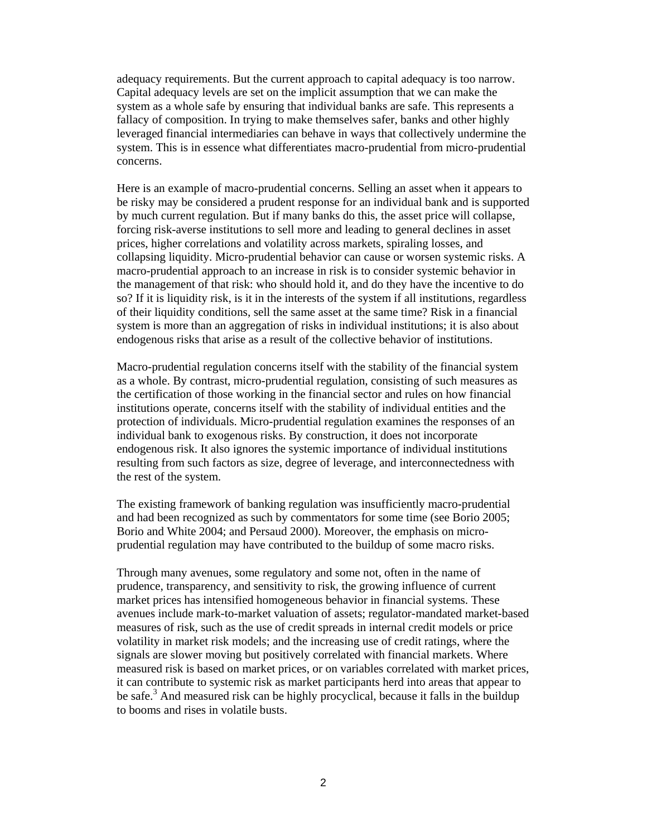adequacy requirements. But the current approach to capital adequacy is too narrow. Capital adequacy levels are set on the implicit assumption that we can make the system as a whole safe by ensuring that individual banks are safe. This represents a fallacy of composition. In trying to make themselves safer, banks and other highly leveraged financial intermediaries can behave in ways that collectively undermine the system. This is in essence what differentiates macro-prudential from micro-prudential concerns.

Here is an example of macro-prudential concerns. Selling an asset when it appears to be risky may be considered a prudent response for an individual bank and is supported by much current regulation. But if many banks do this, the asset price will collapse, forcing risk-averse institutions to sell more and leading to general declines in asset prices, higher correlations and volatility across markets, spiraling losses, and collapsing liquidity. Micro-prudential behavior can cause or worsen systemic risks. A macro-prudential approach to an increase in risk is to consider systemic behavior in the management of that risk: who should hold it, and do they have the incentive to do so? If it is liquidity risk, is it in the interests of the system if all institutions, regardless of their liquidity conditions, sell the same asset at the same time? Risk in a financial system is more than an aggregation of risks in individual institutions; it is also about endogenous risks that arise as a result of the collective behavior of institutions.

Macro-prudential regulation concerns itself with the stability of the financial system as a whole. By contrast, micro-prudential regulation, consisting of such measures as the certification of those working in the financial sector and rules on how financial institutions operate, concerns itself with the stability of individual entities and the protection of individuals. Micro-prudential regulation examines the responses of an individual bank to exogenous risks. By construction, it does not incorporate endogenous risk. It also ignores the systemic importance of individual institutions resulting from such factors as size, degree of leverage, and interconnectedness with the rest of the system.

The existing framework of banking regulation was insufficiently macro-prudential and had been recognized as such by commentators for some time (see Borio 2005; Borio and White 2004; and Persaud 2000). Moreover, the emphasis on microprudential regulation may have contributed to the buildup of some macro risks.

Through many avenues, some regulatory and some not, often in the name of prudence, transparency, and sensitivity to risk, the growing influence of current market prices has intensified homogeneous behavior in financial systems. These avenues include mark-to-market valuation of assets; regulator-mandated market-based measures of risk, such as the use of credit spreads in internal credit models or price volatility in market risk models; and the increasing use of credit ratings, where the signals are slower moving but positively correlated with financial markets. Where measured risk is based on market prices, or on variables correlated with market prices, it can contribute to systemic risk as market participants herd into areas that appear to be safe.<sup>3</sup> And measured risk can be highly procyclical, because it falls in the buildup to booms and rises in volatile busts.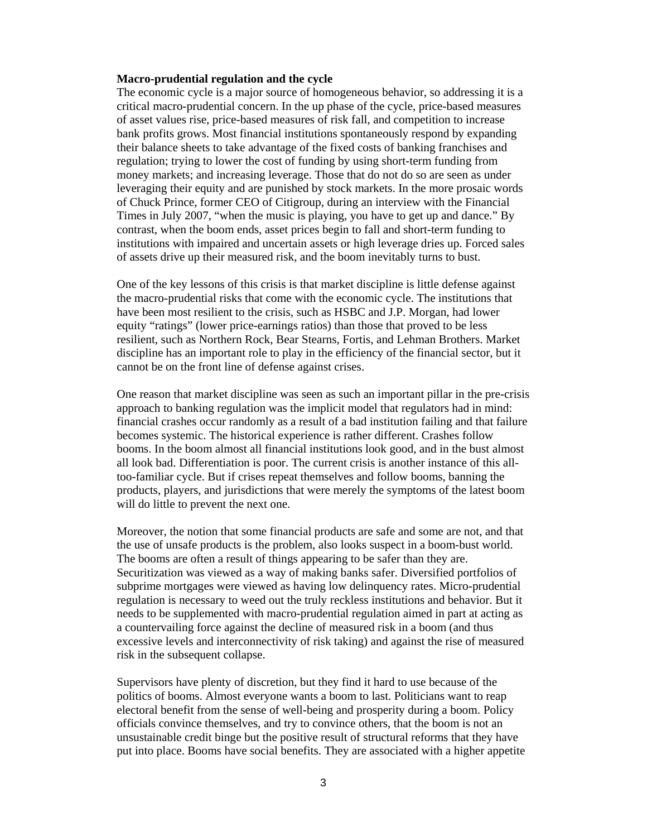# **Macro-prudential regulation and the cycle**

The economic cycle is a major source of homogeneous behavior, so addressing it is a critical macro-prudential concern. In the up phase of the cycle, price-based measures of asset values rise, price-based measures of risk fall, and competition to increase bank profits grows. Most financial institutions spontaneously respond by expanding their balance sheets to take advantage of the fixed costs of banking franchises and regulation; trying to lower the cost of funding by using short-term funding from money markets; and increasing leverage. Those that do not do so are seen as under leveraging their equity and are punished by stock markets. In the more prosaic words of Chuck Prince, former CEO of Citigroup, during an interview with the Financial Times in July 2007, "when the music is playing, you have to get up and dance." By contrast, when the boom ends, asset prices begin to fall and short-term funding to institutions with impaired and uncertain assets or high leverage dries up. Forced sales of assets drive up their measured risk, and the boom inevitably turns to bust.

One of the key lessons of this crisis is that market discipline is little defense against the macro-prudential risks that come with the economic cycle. The institutions that have been most resilient to the crisis, such as HSBC and J.P. Morgan, had lower equity "ratings" (lower price-earnings ratios) than those that proved to be less resilient, such as Northern Rock, Bear Stearns, Fortis, and Lehman Brothers. Market discipline has an important role to play in the efficiency of the financial sector, but it cannot be on the front line of defense against crises.

One reason that market discipline was seen as such an important pillar in the pre-crisis approach to banking regulation was the implicit model that regulators had in mind: financial crashes occur randomly as a result of a bad institution failing and that failure becomes systemic. The historical experience is rather different. Crashes follow booms. In the boom almost all financial institutions look good, and in the bust almost all look bad. Differentiation is poor. The current crisis is another instance of this alltoo-familiar cycle. But if crises repeat themselves and follow booms, banning the products, players, and jurisdictions that were merely the symptoms of the latest boom will do little to prevent the next one.

Moreover, the notion that some financial products are safe and some are not, and that the use of unsafe products is the problem, also looks suspect in a boom-bust world. The booms are often a result of things appearing to be safer than they are. Securitization was viewed as a way of making banks safer. Diversified portfolios of subprime mortgages were viewed as having low delinquency rates. Micro-prudential regulation is necessary to weed out the truly reckless institutions and behavior. But it needs to be supplemented with macro-prudential regulation aimed in part at acting as a countervailing force against the decline of measured risk in a boom (and thus excessive levels and interconnectivity of risk taking) and against the rise of measured risk in the subsequent collapse.

Supervisors have plenty of discretion, but they find it hard to use because of the politics of booms. Almost everyone wants a boom to last. Politicians want to reap electoral benefit from the sense of well-being and prosperity during a boom. Policy officials convince themselves, and try to convince others, that the boom is not an unsustainable credit binge but the positive result of structural reforms that they have put into place. Booms have social benefits. They are associated with a higher appetite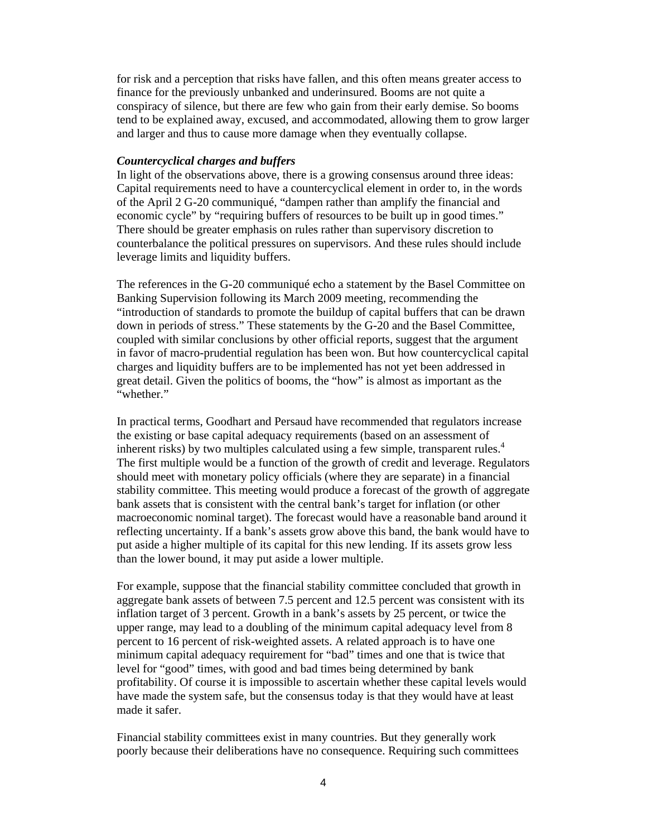for risk and a perception that risks have fallen, and this often means greater access to finance for the previously unbanked and underinsured. Booms are not quite a conspiracy of silence, but there are few who gain from their early demise. So booms tend to be explained away, excused, and accommodated, allowing them to grow larger and larger and thus to cause more damage when they eventually collapse.

# *Countercyclical charges and buffers*

In light of the observations above, there is a growing consensus around three ideas: Capital requirements need to have a countercyclical element in order to, in the words of the April 2 G-20 communiqué, "dampen rather than amplify the financial and economic cycle" by "requiring buffers of resources to be built up in good times." There should be greater emphasis on rules rather than supervisory discretion to counterbalance the political pressures on supervisors. And these rules should include leverage limits and liquidity buffers.

The references in the G-20 communiqué echo a statement by the Basel Committee on Banking Supervision following its March 2009 meeting, recommending the "introduction of standards to promote the buildup of capital buffers that can be drawn down in periods of stress." These statements by the G-20 and the Basel Committee, coupled with similar conclusions by other official reports, suggest that the argument in favor of macro-prudential regulation has been won. But how countercyclical capital charges and liquidity buffers are to be implemented has not yet been addressed in great detail. Given the politics of booms, the "how" is almost as important as the "whether"

In practical terms, Goodhart and Persaud have recommended that regulators increase the existing or base capital adequacy requirements (based on an assessment of inherent risks) by two multiples calculated using a few simple, transparent rules.<sup>4</sup> The first multiple would be a function of the growth of credit and leverage. Regulators should meet with monetary policy officials (where they are separate) in a financial stability committee. This meeting would produce a forecast of the growth of aggregate bank assets that is consistent with the central bank's target for inflation (or other macroeconomic nominal target). The forecast would have a reasonable band around it reflecting uncertainty. If a bank's assets grow above this band, the bank would have to put aside a higher multiple of its capital for this new lending. If its assets grow less than the lower bound, it may put aside a lower multiple.

For example, suppose that the financial stability committee concluded that growth in aggregate bank assets of between 7.5 percent and 12.5 percent was consistent with its inflation target of 3 percent. Growth in a bank's assets by 25 percent, or twice the upper range, may lead to a doubling of the minimum capital adequacy level from 8 percent to 16 percent of risk-weighted assets. A related approach is to have one minimum capital adequacy requirement for "bad" times and one that is twice that level for "good" times, with good and bad times being determined by bank profitability. Of course it is impossible to ascertain whether these capital levels would have made the system safe, but the consensus today is that they would have at least made it safer.

Financial stability committees exist in many countries. But they generally work poorly because their deliberations have no consequence. Requiring such committees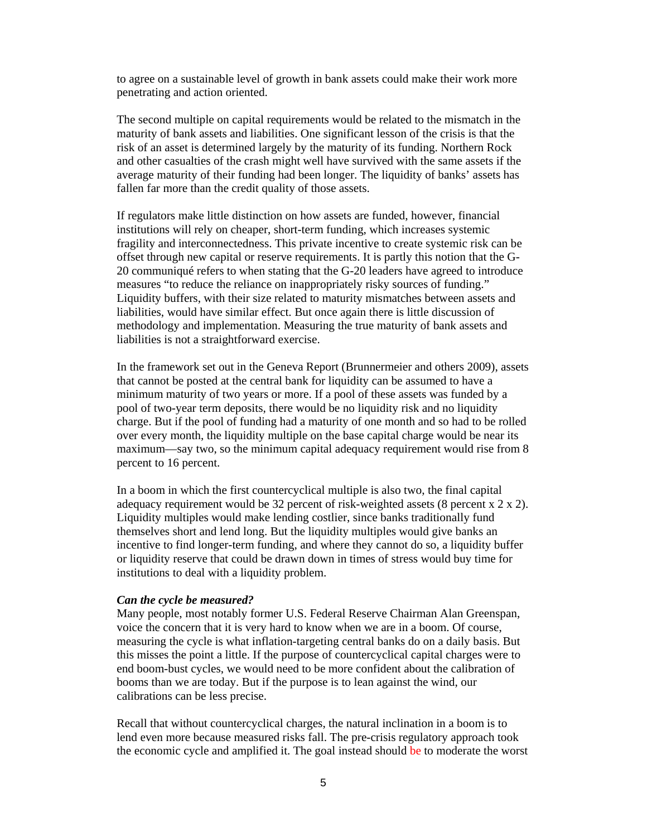to agree on a sustainable level of growth in bank assets could make their work more penetrating and action oriented.

The second multiple on capital requirements would be related to the mismatch in the maturity of bank assets and liabilities. One significant lesson of the crisis is that the risk of an asset is determined largely by the maturity of its funding. Northern Rock and other casualties of the crash might well have survived with the same assets if the average maturity of their funding had been longer. The liquidity of banks' assets has fallen far more than the credit quality of those assets.

If regulators make little distinction on how assets are funded, however, financial institutions will rely on cheaper, short-term funding, which increases systemic fragility and interconnectedness. This private incentive to create systemic risk can be offset through new capital or reserve requirements. It is partly this notion that the G-20 communiqué refers to when stating that the G-20 leaders have agreed to introduce measures "to reduce the reliance on inappropriately risky sources of funding." Liquidity buffers, with their size related to maturity mismatches between assets and liabilities, would have similar effect. But once again there is little discussion of methodology and implementation. Measuring the true maturity of bank assets and liabilities is not a straightforward exercise.

In the framework set out in the Geneva Report (Brunnermeier and others 2009), assets that cannot be posted at the central bank for liquidity can be assumed to have a minimum maturity of two years or more. If a pool of these assets was funded by a pool of two-year term deposits, there would be no liquidity risk and no liquidity charge. But if the pool of funding had a maturity of one month and so had to be rolled over every month, the liquidity multiple on the base capital charge would be near its maximum—say two, so the minimum capital adequacy requirement would rise from 8 percent to 16 percent.

In a boom in which the first countercyclical multiple is also two, the final capital adequacy requirement would be 32 percent of risk-weighted assets (8 percent x 2 x 2). Liquidity multiples would make lending costlier, since banks traditionally fund themselves short and lend long. But the liquidity multiples would give banks an incentive to find longer-term funding, and where they cannot do so, a liquidity buffer or liquidity reserve that could be drawn down in times of stress would buy time for institutions to deal with a liquidity problem.

#### *Can the cycle be measured?*

Many people, most notably former U.S. Federal Reserve Chairman Alan Greenspan, voice the concern that it is very hard to know when we are in a boom. Of course, measuring the cycle is what inflation-targeting central banks do on a daily basis. But this misses the point a little. If the purpose of countercyclical capital charges were to end boom-bust cycles, we would need to be more confident about the calibration of booms than we are today. But if the purpose is to lean against the wind, our calibrations can be less precise.

Recall that without countercyclical charges, the natural inclination in a boom is to lend even more because measured risks fall. The pre-crisis regulatory approach took the economic cycle and amplified it. The goal instead should be to moderate the worst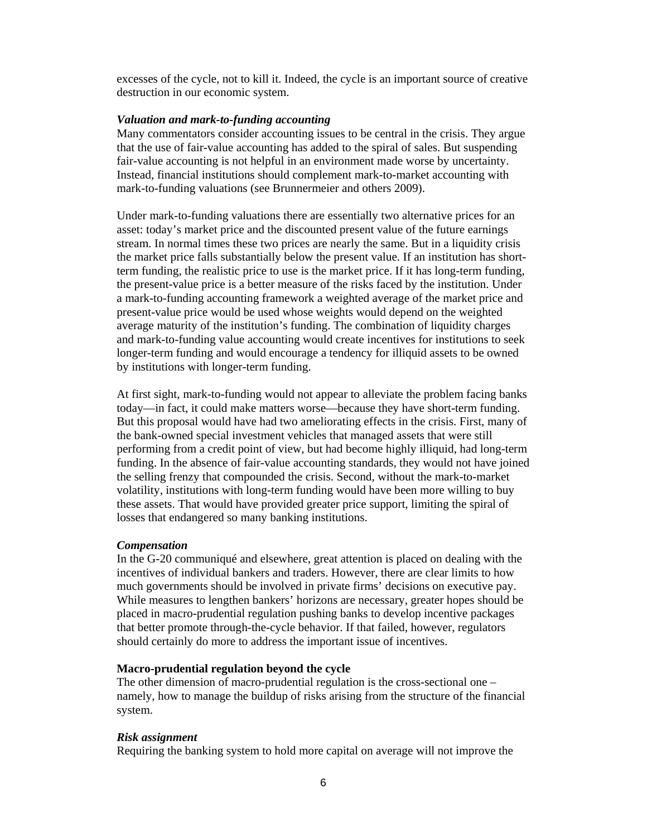excesses of the cycle, not to kill it. Indeed, the cycle is an important source of creative destruction in our economic system.

### *Valuation and mark-to-funding accounting*

Many commentators consider accounting issues to be central in the crisis. They argue that the use of fair-value accounting has added to the spiral of sales. But suspending fair-value accounting is not helpful in an environment made worse by uncertainty. Instead, financial institutions should complement mark-to-market accounting with mark-to-funding valuations (see Brunnermeier and others 2009).

Under mark-to-funding valuations there are essentially two alternative prices for an asset: today's market price and the discounted present value of the future earnings stream. In normal times these two prices are nearly the same. But in a liquidity crisis the market price falls substantially below the present value. If an institution has shortterm funding, the realistic price to use is the market price. If it has long-term funding, the present-value price is a better measure of the risks faced by the institution. Under a mark-to-funding accounting framework a weighted average of the market price and present-value price would be used whose weights would depend on the weighted average maturity of the institution's funding. The combination of liquidity charges and mark-to-funding value accounting would create incentives for institutions to seek longer-term funding and would encourage a tendency for illiquid assets to be owned by institutions with longer-term funding.

At first sight, mark-to-funding would not appear to alleviate the problem facing banks today—in fact, it could make matters worse—because they have short-term funding. But this proposal would have had two ameliorating effects in the crisis. First, many of the bank-owned special investment vehicles that managed assets that were still performing from a credit point of view, but had become highly illiquid, had long-term funding. In the absence of fair-value accounting standards, they would not have joined the selling frenzy that compounded the crisis. Second, without the mark-to-market volatility, institutions with long-term funding would have been more willing to buy these assets. That would have provided greater price support, limiting the spiral of losses that endangered so many banking institutions.

### *Compensation*

In the G-20 communiqué and elsewhere, great attention is placed on dealing with the incentives of individual bankers and traders. However, there are clear limits to how much governments should be involved in private firms' decisions on executive pay. While measures to lengthen bankers' horizons are necessary, greater hopes should be placed in macro-prudential regulation pushing banks to develop incentive packages that better promote through-the-cycle behavior. If that failed, however, regulators should certainly do more to address the important issue of incentives.

# **Macro-prudential regulation beyond the cycle**

The other dimension of macro-prudential regulation is the cross-sectional one – namely, how to manage the buildup of risks arising from the structure of the financial system.

# *Risk assignment*

Requiring the banking system to hold more capital on average will not improve the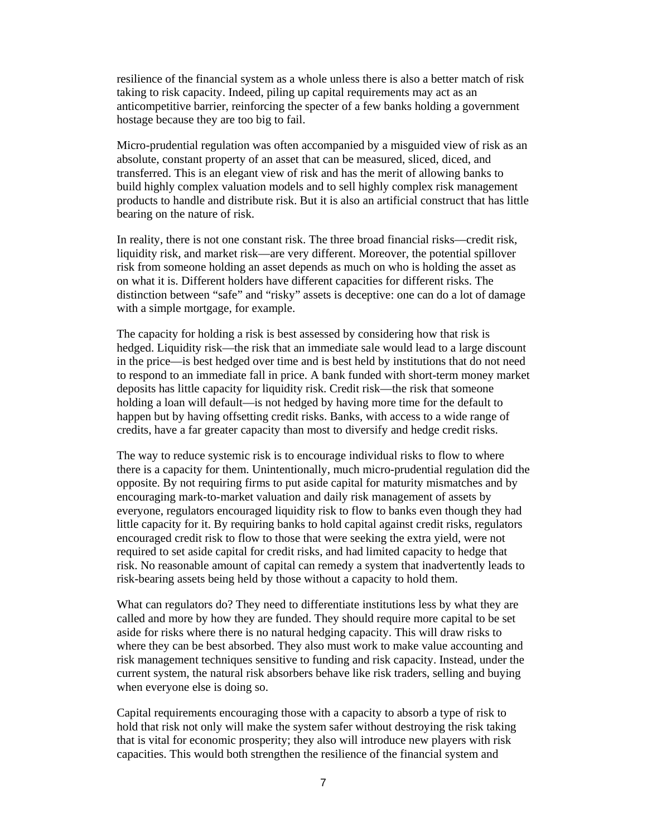resilience of the financial system as a whole unless there is also a better match of risk taking to risk capacity. Indeed, piling up capital requirements may act as an anticompetitive barrier, reinforcing the specter of a few banks holding a government hostage because they are too big to fail.

Micro-prudential regulation was often accompanied by a misguided view of risk as an absolute, constant property of an asset that can be measured, sliced, diced, and transferred. This is an elegant view of risk and has the merit of allowing banks to build highly complex valuation models and to sell highly complex risk management products to handle and distribute risk. But it is also an artificial construct that has little bearing on the nature of risk.

In reality, there is not one constant risk. The three broad financial risks—credit risk, liquidity risk, and market risk—are very different. Moreover, the potential spillover risk from someone holding an asset depends as much on who is holding the asset as on what it is. Different holders have different capacities for different risks. The distinction between "safe" and "risky" assets is deceptive: one can do a lot of damage with a simple mortgage, for example.

The capacity for holding a risk is best assessed by considering how that risk is hedged. Liquidity risk—the risk that an immediate sale would lead to a large discount in the price—is best hedged over time and is best held by institutions that do not need to respond to an immediate fall in price. A bank funded with short-term money market deposits has little capacity for liquidity risk. Credit risk—the risk that someone holding a loan will default—is not hedged by having more time for the default to happen but by having offsetting credit risks. Banks, with access to a wide range of credits, have a far greater capacity than most to diversify and hedge credit risks.

The way to reduce systemic risk is to encourage individual risks to flow to where there is a capacity for them. Unintentionally, much micro-prudential regulation did the opposite. By not requiring firms to put aside capital for maturity mismatches and by encouraging mark-to-market valuation and daily risk management of assets by everyone, regulators encouraged liquidity risk to flow to banks even though they had little capacity for it. By requiring banks to hold capital against credit risks, regulators encouraged credit risk to flow to those that were seeking the extra yield, were not required to set aside capital for credit risks, and had limited capacity to hedge that risk. No reasonable amount of capital can remedy a system that inadvertently leads to risk-bearing assets being held by those without a capacity to hold them.

What can regulators do? They need to differentiate institutions less by what they are called and more by how they are funded. They should require more capital to be set aside for risks where there is no natural hedging capacity. This will draw risks to where they can be best absorbed. They also must work to make value accounting and risk management techniques sensitive to funding and risk capacity. Instead, under the current system, the natural risk absorbers behave like risk traders, selling and buying when everyone else is doing so.

Capital requirements encouraging those with a capacity to absorb a type of risk to hold that risk not only will make the system safer without destroying the risk taking that is vital for economic prosperity; they also will introduce new players with risk capacities. This would both strengthen the resilience of the financial system and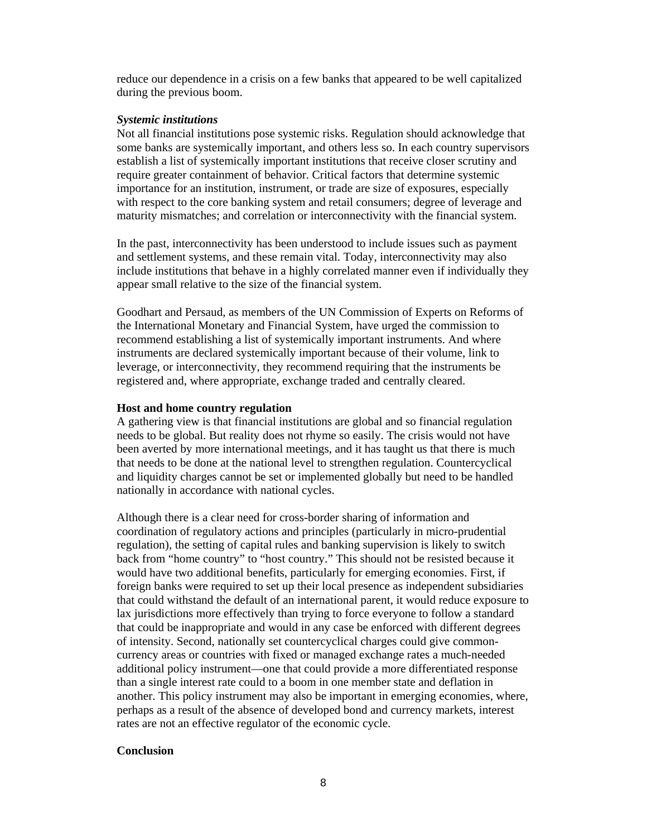reduce our dependence in a crisis on a few banks that appeared to be well capitalized during the previous boom.

# *Systemic institutions*

Not all financial institutions pose systemic risks. Regulation should acknowledge that some banks are systemically important, and others less so. In each country supervisors establish a list of systemically important institutions that receive closer scrutiny and require greater containment of behavior. Critical factors that determine systemic importance for an institution, instrument, or trade are size of exposures, especially with respect to the core banking system and retail consumers; degree of leverage and maturity mismatches; and correlation or interconnectivity with the financial system.

In the past, interconnectivity has been understood to include issues such as payment and settlement systems, and these remain vital. Today, interconnectivity may also include institutions that behave in a highly correlated manner even if individually they appear small relative to the size of the financial system.

Goodhart and Persaud, as members of the UN Commission of Experts on Reforms of the International Monetary and Financial System, have urged the commission to recommend establishing a list of systemically important instruments. And where instruments are declared systemically important because of their volume, link to leverage, or interconnectivity, they recommend requiring that the instruments be registered and, where appropriate, exchange traded and centrally cleared.

# **Host and home country regulation**

A gathering view is that financial institutions are global and so financial regulation needs to be global. But reality does not rhyme so easily. The crisis would not have been averted by more international meetings, and it has taught us that there is much that needs to be done at the national level to strengthen regulation. Countercyclical and liquidity charges cannot be set or implemented globally but need to be handled nationally in accordance with national cycles.

Although there is a clear need for cross-border sharing of information and coordination of regulatory actions and principles (particularly in micro-prudential regulation), the setting of capital rules and banking supervision is likely to switch back from "home country" to "host country." This should not be resisted because it would have two additional benefits, particularly for emerging economies. First, if foreign banks were required to set up their local presence as independent subsidiaries that could withstand the default of an international parent, it would reduce exposure to lax jurisdictions more effectively than trying to force everyone to follow a standard that could be inappropriate and would in any case be enforced with different degrees of intensity. Second, nationally set countercyclical charges could give commoncurrency areas or countries with fixed or managed exchange rates a much-needed additional policy instrument—one that could provide a more differentiated response than a single interest rate could to a boom in one member state and deflation in another. This policy instrument may also be important in emerging economies, where, perhaps as a result of the absence of developed bond and currency markets, interest rates are not an effective regulator of the economic cycle.

# **Conclusion**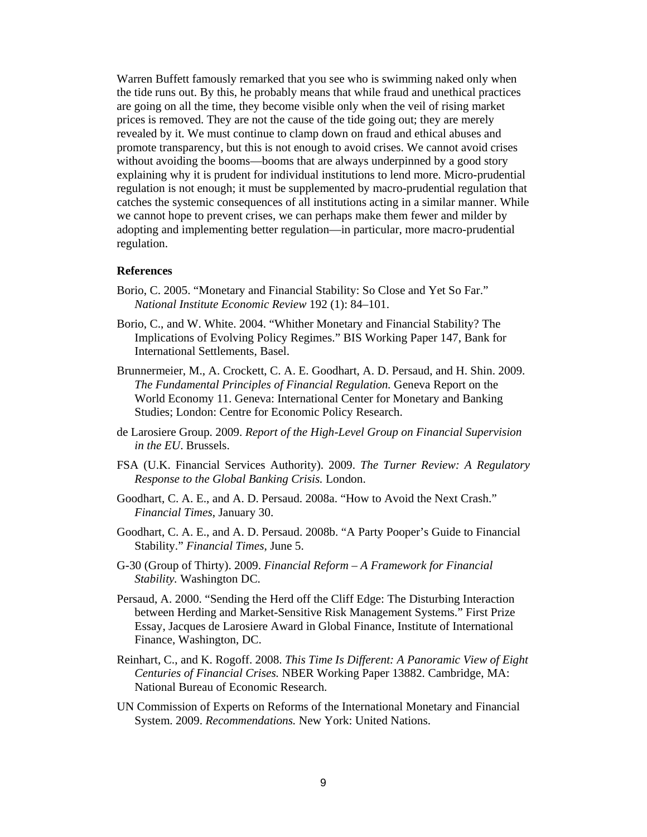Warren Buffett famously remarked that you see who is swimming naked only when the tide runs out. By this, he probably means that while fraud and unethical practices are going on all the time, they become visible only when the veil of rising market prices is removed. They are not the cause of the tide going out; they are merely revealed by it. We must continue to clamp down on fraud and ethical abuses and promote transparency, but this is not enough to avoid crises. We cannot avoid crises without avoiding the booms—booms that are always underpinned by a good story explaining why it is prudent for individual institutions to lend more. Micro-prudential regulation is not enough; it must be supplemented by macro-prudential regulation that catches the systemic consequences of all institutions acting in a similar manner. While we cannot hope to prevent crises, we can perhaps make them fewer and milder by adopting and implementing better regulation—in particular, more macro-prudential regulation.

# **References**

- Borio, C. 2005. "Monetary and Financial Stability: So Close and Yet So Far." *National Institute Economic Review* 192 (1): 84–101.
- Borio, C., and W. White. 2004. "Whither Monetary and Financial Stability? The Implications of Evolving Policy Regimes." BIS Working Paper 147, Bank for International Settlements, Basel.
- Brunnermeier, M., A. Crockett, C. A. E. Goodhart, A. D. Persaud, and H. Shin. 2009. *The Fundamental Principles of Financial Regulation.* Geneva Report on the World Economy 11. Geneva: International Center for Monetary and Banking Studies; London: Centre for Economic Policy Research.
- de Larosiere Group. 2009. *Report of the High-Level Group on Financial Supervision in the EU*. Brussels.
- FSA (U.K. Financial Services Authority). 2009. *The Turner Review: A Regulatory Response to the Global Banking Crisis.* London.
- Goodhart, C. A. E., and A. D. Persaud. 2008a. "How to Avoid the Next Crash." *Financial Times*, January 30.
- Goodhart, C. A. E., and A. D. Persaud. 2008b. "A Party Pooper's Guide to Financial Stability." *Financial Times*, June 5.
- G-30 (Group of Thirty). 2009. *Financial Reform A Framework for Financial Stability.* Washington DC.
- Persaud, A. 2000. "Sending the Herd off the Cliff Edge: The Disturbing Interaction between Herding and Market-Sensitive Risk Management Systems." First Prize Essay, Jacques de Larosiere Award in Global Finance, Institute of International Finance, Washington, DC.
- Reinhart, C., and K. Rogoff. 2008. *This Time Is Different: A Panoramic View of Eight Centuries of Financial Crises.* NBER Working Paper 13882. Cambridge, MA: National Bureau of Economic Research.
- UN Commission of Experts on Reforms of the International Monetary and Financial System. 2009. *Recommendations.* New York: United Nations.